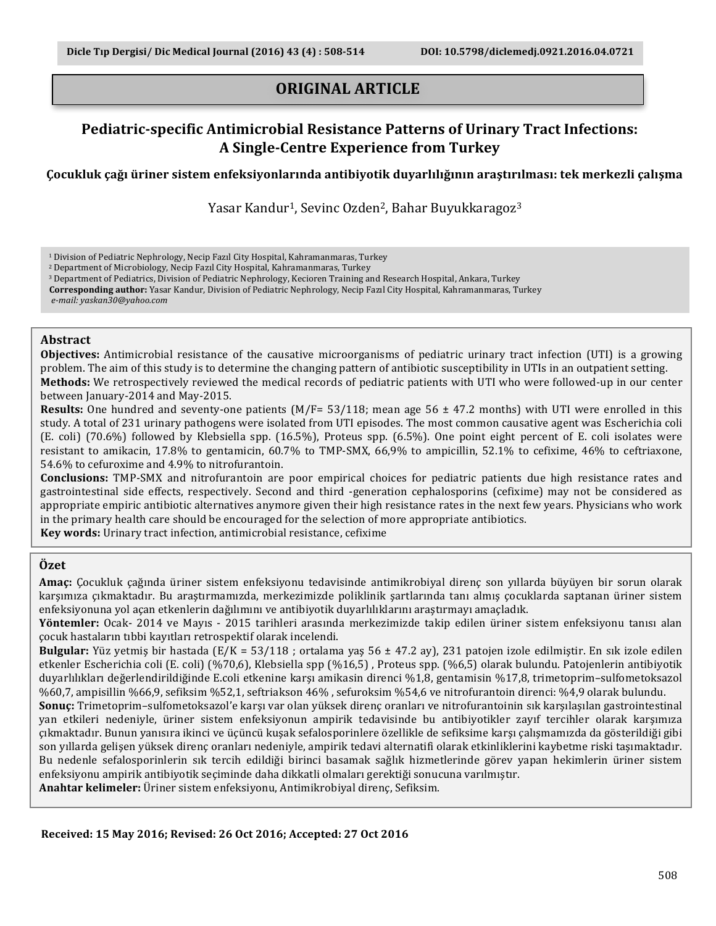# **ORIGINAL ARTICLE**

# **Pediatric-specific Antimicrobial Resistance Patterns of Urinary Tract Infections: A Single-Centre Experience from Turkey**

**Çocukluk çağı üriner sistem enfeksiyonlarında antibiyotik duyarlılığının araştırılması: tek merkezli çalışma**

Yasar Kandur<sup>1</sup>, Sevinc Ozden<sup>2</sup>, Bahar Buyukkaragoz<sup>3</sup>

<sup>2</sup> Department of Microbiology, Necip Fazıl City Hospital, Kahramanmaras, Turkey

<sup>3</sup> Department of Pediatrics, Division of Pediatric Nephrology, Kecioren Training and Research Hospital, Ankara, Turkey

Corresponding author: Yasar Kandur, Division of Pediatric Nephrology, Necip Fazıl City Hospital, Kahramanmaras, Turkey

*e-mail: yaskan30@yahoo.com*

#### **Abstract**

**Objectives:** Antimicrobial resistance of the causative microorganisms of pediatric urinary tract infection (UTI) is a growing problem. The aim of this study is to determine the changing pattern of antibiotic susceptibility in UTIs in an outpatient setting. **Methods:** We retrospectively reviewed the medical records of pediatric patients with UTI who were followed-up in our center between January-2014 and May-2015.

**Results:** One hundred and seventy-one patients  $(M/F= 53/118)$ ; mean age  $56 \pm 47.2$  months) with UTI were enrolled in this study. A total of 231 urinary pathogens were isolated from UTI episodes. The most common causative agent was Escherichia coli (E. coli) (70.6%) followed by Klebsiella spp. (16.5%), Proteus spp. (6.5%). One point eight percent of E. coli isolates were resistant to amikacin, 17.8% to gentamicin, 60.7% to TMP-SMX, 66,9% to ampicillin, 52.1% to cefixime, 46% to ceftriaxone, 54.6% to cefuroxime and 4.9% to nitrofurantoin.

**Conclusions:** TMP-SMX and nitrofurantoin are poor empirical choices for pediatric patients due high resistance rates and gastrointestinal side effects, respectively. Second and third -generation cephalosporins (cefixime) may not be considered as appropriate empiric antibiotic alternatives anymore given their high resistance rates in the next few years. Physicians who work in the primary health care should be encouraged for the selection of more appropriate antibiotics.

**Key words:** Urinary tract infection, antimicrobial resistance, cefixime

#### **Özet**

**Amac:** Cocukluk cağında üriner sistem enfeksiyonu tedavisinde antimikrobiyal direnc son yıllarda büyüyen bir sorun olarak karşımıza çıkmaktadır. Bu araştırmamızda, merkezimizde poliklinik şartlarında tanı almış çocuklarda saptanan üriner sistem enfeksiyonuna yol açan etkenlerin dağılımını ve antibiyotik duyarlılıklarını araştırmayı amaçladık.

Yöntemler: Ocak- 2014 ve Mayıs - 2015 tarihleri arasında merkezimizde takip edilen üriner sistem enfeksiyonu tanısı alan çocuk hastaların tıbbi kayıtları retrospektif olarak incelendi.

**Bulgular:** Yüz yetmiş bir hastada  $(E/K = 53/118$ ; ortalama yaş 56  $\pm$  47.2 ay), 231 patojen izole edilmiştir. En sık izole edilen etkenler Escherichia coli (E. coli) (%70,6), Klebsiella spp (%16,5), Proteus spp. (%6,5) olarak bulundu. Patojenlerin antibiyotik duyarlılıkları değerlendirildiğinde E.coli etkenine karşı amikasin direnci %1,8, gentamisin %17,8, trimetoprim–sulfometoksazol %60,7, ampisillin %66,9, sefiksim %52,1, seftriakson 46%, sefuroksim %54,6 ve nitrofurantoin direnci: %4,9 olarak bulundu.

**Sonuç:** Trimetoprim–sulfometoksazol'e karşı var olan yüksek direnç oranları ve nitrofurantoinin sık karşılaşılan gastrointestinal yan etkileri nedeniyle, üriner sistem enfeksiyonun ampirik tedavisinde bu antibiyotikler zayıf tercihler olarak karşımıza çıkmaktadır. Bunun yanısıra ikinci ve üçüncü kuşak sefalosporinlere özellikle de sefiksime karşı çalışmamızda da gösterildiği gibi son yıllarda gelişen yüksek direnç oranları nedeniyle, ampirik tedavi alternatifi olarak etkinliklerini kaybetme riski taşımaktadır. Bu nedenle sefalosporinlerin sık tercih edildiği birinci basamak sağlık hizmetlerinde görev yapan hekimlerin üriner sistem enfeksiyonu ampirik antibiyotik seçiminde daha dikkatli olmaları gerektiği sonucuna varılmıştır.

**Anahtar kelimeler:** Üriner sistem enfeksiyonu, Antimikrobiyal direnç, Sefiksim.

<sup>&</sup>lt;sup>1</sup> Division of Pediatric Nephrology, Necip Fazil City Hospital, Kahramanmaras, Turkey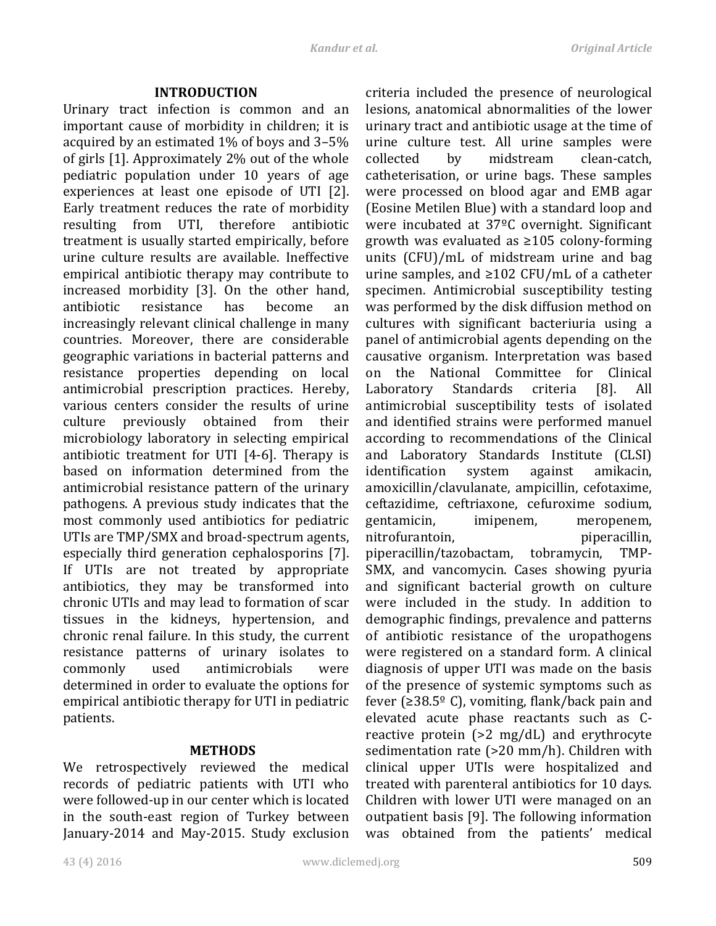#### **INTRODUCTION**

Urinary tract infection is common and an important cause of morbidity in children; it is acquired by an estimated  $1\%$  of boys and 3–5% of girls [1]. Approximately 2% out of the whole pediatric population under 10 years of age experiences at least one episode of UTI [2]. Early treatment reduces the rate of morbidity resulting from UTI, therefore antibiotic treatment is usually started empirically, before urine culture results are available. Ineffective empirical antibiotic therapy may contribute to increased morbidity [3]. On the other hand, antibiotic resistance has become an increasingly relevant clinical challenge in many countries. Moreover, there are considerable geographic variations in bacterial patterns and resistance properties depending on local antimicrobial prescription practices. Hereby, various centers consider the results of urine culture previously obtained from their microbiology laboratory in selecting empirical antibiotic treatment for UTI  $[4-6]$ . Therapy is based on information determined from the antimicrobial resistance pattern of the urinary pathogens. A previous study indicates that the most commonly used antibiotics for pediatric UTIs are TMP/SMX and broad-spectrum agents, especially third generation cephalosporins [7]. If UTIs are not treated by appropriate antibiotics, they may be transformed into chronic UTIs and may lead to formation of scar tissues in the kidneys, hypertension, and chronic renal failure. In this study, the current resistance patterns of urinary isolates to commonly used antimicrobials were determined in order to evaluate the options for empirical antibiotic therapy for UTI in pediatric patients.

## **METHODS**

We retrospectively reviewed the medical records of pediatric patients with UTI who were followed-up in our center which is located in the south-east region of Turkey between January-2014 and May-2015. Study exclusion criteria included the presence of neurological lesions, anatomical abnormalities of the lower urinary tract and antibiotic usage at the time of urine culture test. All urine samples were collected by midstream clean-catch, catheterisation, or urine bags. These samples were processed on blood agar and EMB agar (Eosine Metilen Blue) with a standard loop and were incubated at  $37^{\circ}$ C overnight. Significant growth was evaluated as  $\geq 105$  colony-forming units  $(CFU)/mL$  of midstream urine and bag urine samples, and  $\geq 102$  CFU/mL of a catheter specimen. Antimicrobial susceptibility testing was performed by the disk diffusion method on cultures with significant bacteriuria using a panel of antimicrobial agents depending on the causative organism. Interpretation was based on the National Committee for Clinical Laboratory Standards criteria [8]. All antimicrobial susceptibility tests of isolated and identified strains were performed manuel according to recommendations of the Clinical and Laboratory Standards Institute (CLSI) identification system against amikacin, amoxicillin/clavulanate, ampicillin, cefotaxime, ceftazidime, ceftriaxone, cefuroxime sodium, gentamicin, imipenem, meropenem, nitrofurantoin, mitrofurantoin, mitrofurantoin, mitrofurantoin, mitrofurantoin, mitrofurantoin, mitrofurantoin piperacillin/tazobactam, tobramycin, TMP-SMX, and vancomycin. Cases showing pyuria and significant bacterial growth on culture were included in the study. In addition to demographic findings, prevalence and patterns of antibiotic resistance of the uropathogens were registered on a standard form. A clinical diagnosis of upper UTI was made on the basis of the presence of systemic symptoms such as fever  $(≥38.5<sup>°</sup> C)$ , vomiting, flank/back pain and elevated acute phase reactants such as Creactive protein  $(>2 \text{ mg/dL})$  and erythrocyte sedimentation rate  $(>20 \text{ mm/h})$ . Children with clinical upper UTIs were hospitalized and treated with parenteral antibiotics for 10 days. Children with lower UTI were managed on an outpatient basis [9]. The following information was obtained from the patients' medical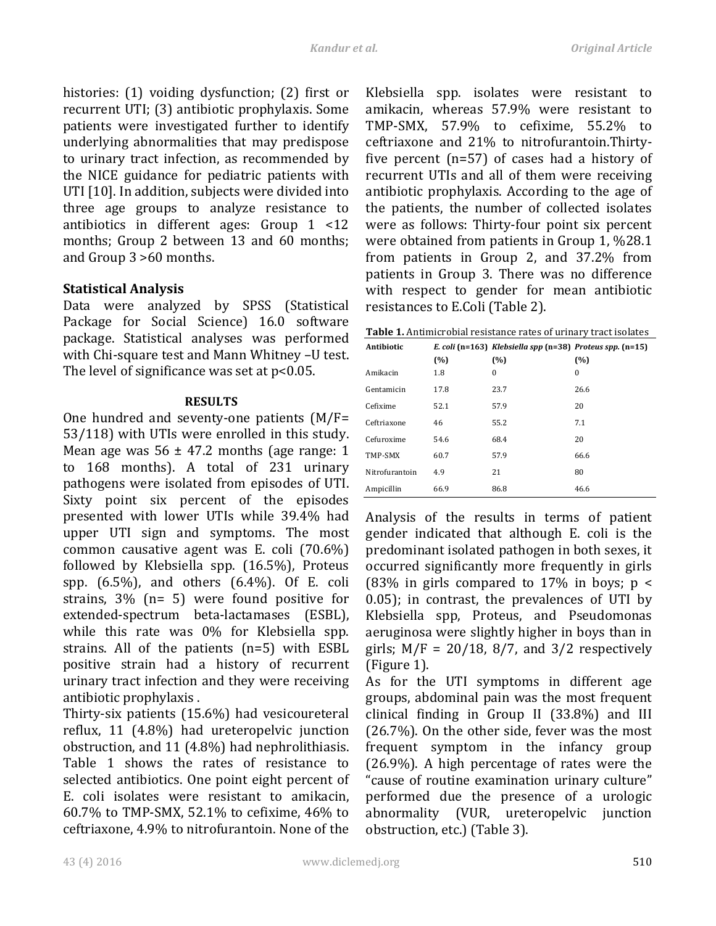histories:  $(1)$  voiding dysfunction;  $(2)$  first or recurrent UTI; (3) antibiotic prophylaxis. Some patients were investigated further to identify underlying abnormalities that may predispose to urinary tract infection, as recommended by the NICE guidance for pediatric patients with UTI [10]. In addition, subjects were divided into three age groups to analyze resistance to antibiotics in different ages:  $Group 1 < 12$ months; Group 2 between 13 and 60 months; and Group 3 >60 months.

## **Statistical Analysis**

Data were analyzed by SPSS (Statistical Package for Social Science) 16.0 software package. Statistical analyses was performed with Chi-square test and Mann Whitney -U test. The level of significance was set at  $p<0.05$ .

#### **RESULTS**

One hundred and seventy-one patients  $(M/F=$ 53/118) with UTIs were enrolled in this study. Mean age was  $56 \pm 47.2$  months (age range: 1) to 168 months). A total of 231 urinary pathogens were isolated from episodes of UTI. Sixty point six percent of the episodes presented with lower UTIs while 39.4% had upper UTI sign and symptoms. The most common causative agent was E. coli  $(70.6\%)$ followed by Klebsiella spp.  $(16.5\%)$ , Proteus spp.  $(6.5\%)$ , and others  $(6.4\%)$ . Of E. coli strains,  $3\%$  (n= 5) were found positive for extended-spectrum beta-lactamases (ESBL), while this rate was  $0\%$  for Klebsiella spp. strains. All of the patients  $(n=5)$  with ESBL positive strain had a history of recurrent urinary tract infection and they were receiving antibiotic prophylaxis.

Thirty-six patients  $(15.6%)$  had vesicoureteral reflux,  $11$  (4.8%) had ureteropelvic junction obstruction, and  $11$  (4.8%) had nephrolithiasis. Table 1 shows the rates of resistance to selected antibiotics. One point eight percent of E. coli isolates were resistant to amikacin,  $60.7\%$  to TMP-SMX, 52.1% to cefixime, 46% to ceftriaxone, 4.9% to nitrofurantoin. None of the Klebsiella spp. isolates were resistant to amikacin, whereas 57.9% were resistant to TMP-SMX,  $57.9\%$  to cefixime,  $55.2\%$  to ceftriaxone and 21% to nitrofurantoin.Thirtyfive percent  $(n=57)$  of cases had a history of recurrent UTIs and all of them were receiving antibiotic prophylaxis. According to the age of the patients, the number of collected isolates were as follows: Thirty-four point six percent were obtained from patients in Group 1,  $\frac{628.1}{ }$ from patients in Group 2, and  $37.2\%$  from patients in Group 3. There was no difference with respect to gender for mean antibiotic resistances to E.Coli (Table 2).

| <b>Antibiotic</b> |      | E. coli (n=163) Klebsiella spp (n=38) Proteus spp. (n=15) |          |
|-------------------|------|-----------------------------------------------------------|----------|
|                   | (%)  | (%)                                                       | (%)      |
| Amikacin          | 1.8  | 0                                                         | $\bf{0}$ |
| Gentamicin        | 17.8 | 23.7                                                      | 26.6     |
| Cefixime          | 52.1 | 57.9                                                      | 20       |
| Ceftriaxone       | 46   | 55.2                                                      | 7.1      |
| Cefuroxime        | 54.6 | 68.4                                                      | 20       |
| TMP-SMX           | 60.7 | 57.9                                                      | 66.6     |
| Nitrofurantoin    | 4.9  | 21                                                        | 80       |
| Ampicillin        | 66.9 | 86.8                                                      | 46.6     |

Analysis of the results in terms of patient gender indicated that although E. coli is the predominant isolated pathogen in both sexes, it occurred significantly more frequently in girls (83% in girls compared to 17% in boys;  $p \lt$  $0.05$ ); in contrast, the prevalences of UTI by Klebsiella spp, Proteus, and Pseudomonas aeruginosa were slightly higher in boys than in girls;  $M/F = 20/18$ , 8/7, and 3/2 respectively  $(Figure 1)$ .

As for the UTI symptoms in different age groups, abdominal pain was the most frequent clinical finding in Group II  $(33.8\%)$  and III  $(26.7\%)$ . On the other side, fever was the most frequent symptom in the infancy group  $(26.9\%)$ . A high percentage of rates were the "cause of routine examination urinary culture" performed due the presence of a urologic abnormality (VUR, ureteropelvic junction obstruction, etc.) (Table 3).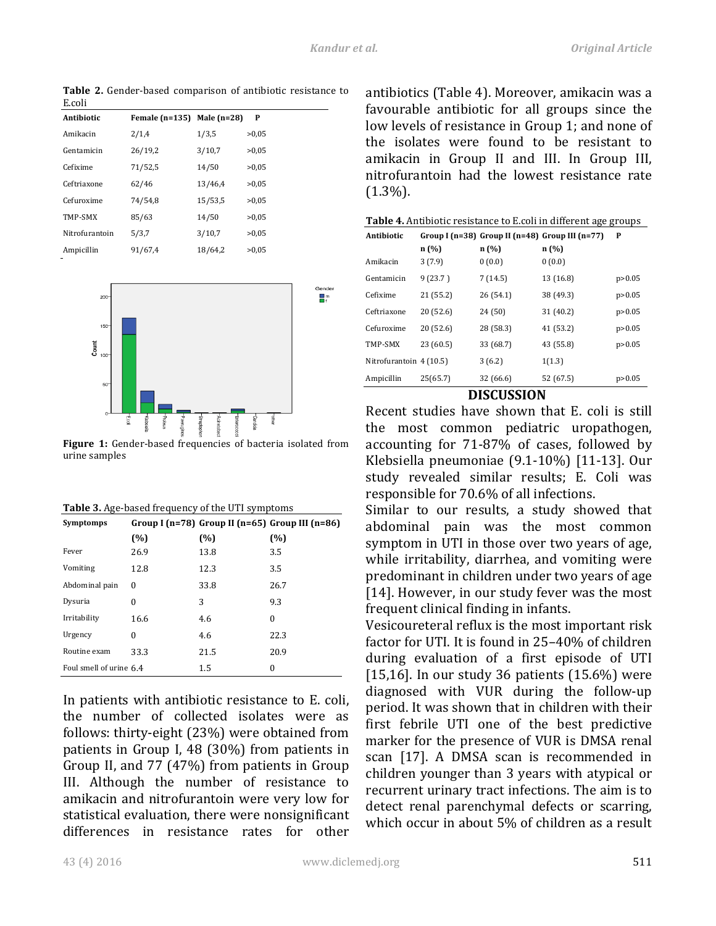Table 2. Gender-based comparison of antibiotic resistance to E.coli 

| Antibiotic     | Female $(n=135)$ Male $(n=28)$ |         | P     |
|----------------|--------------------------------|---------|-------|
| Amikacin       | 2/1,4                          | 1/3,5   | >0.05 |
| Gentamicin     | 26/19,2                        | 3/10,7  | >0.05 |
| Cefixime       | 71/52,5                        | 14/50   | >0.05 |
| Ceftriaxone    | 62/46                          | 13/46,4 | >0.05 |
| Cefuroxime     | 74/54,8                        | 15/53,5 | >0.05 |
| TMP-SMX        | 85/63                          | 14/50   | >0.05 |
| Nitrofurantoin | 5/3,7                          | 3/10,7  | >0.05 |
| Ampicillin     | 91/67,4                        | 18/64.2 | >0.05 |



Figure 1: Gender-based frequencies of bacteria isolated from urine samples

**Table 3.** Age-based frequency of the UTI symptoms

| <b>Symptomps</b>        |      |      | Group I (n=78) Group II (n=65) Group III (n=86) |
|-------------------------|------|------|-------------------------------------------------|
|                         | (%)  | (%)  | (%)                                             |
| Fever                   | 26.9 | 13.8 | 3.5                                             |
| Vomiting                | 12.8 | 12.3 | 3.5                                             |
| Abdominal pain          | 0    | 33.8 | 26.7                                            |
| Dysuria                 | 0    | 3    | 9.3                                             |
| Irritability            | 16.6 | 4.6  | $\theta$                                        |
| Urgency                 | 0    | 4.6  | 22.3                                            |
| Routine exam            | 33.3 | 21.5 | 20.9                                            |
| Foul smell of urine 6.4 |      | 1.5  | $\Omega$                                        |

In patients with antibiotic resistance to E. coli, the number of collected isolates were as follows: thirty-eight (23%) were obtained from patients in Group I, 48  $(30\%)$  from patients in Group II, and  $77$  (47%) from patients in Group III. Although the number of resistance to amikacin and nitrofurantoin were very low for statistical evaluation, there were nonsignificant differences in resistance rates for other antibiotics (Table 4). Moreover, amikacin was a favourable antibiotic for all groups since the low levels of resistance in Group 1; and none of the isolates were found to be resistant to amikacin in Group II and III. In Group III, nitrofurantoin had the lowest resistance rate (1.3%). 

| <b>Table 4.</b> Antibiotic resistance to E.coli in different age groups |           |           |                                                 |          |  |  |
|-------------------------------------------------------------------------|-----------|-----------|-------------------------------------------------|----------|--|--|
| Antibiotic                                                              |           |           | Group I (n=38) Group II (n=48) Group III (n=77) | P        |  |  |
|                                                                         | n(%)      | n(%)      | n(%)                                            |          |  |  |
| Amikacin                                                                | 3(7.9)    | 0(0.0)    | 0(0.0)                                          |          |  |  |
| Gentamicin                                                              | 9(23.7)   | 7(14.5)   | 13 (16.8)                                       | p > 0.05 |  |  |
| Cefixime                                                                | 21 (55.2) | 26 (54.1) | 38 (49.3)                                       | p > 0.05 |  |  |
| Ceftriaxone                                                             | 20(52.6)  | 24 (50)   | 31 (40.2)                                       | p > 0.05 |  |  |
| Cefuroxime                                                              | 20(52.6)  | 28 (58.3) | 41 (53.2)                                       | p > 0.05 |  |  |
| TMP-SMX                                                                 | 23 (60.5) | 33 (68.7) | 43 (55.8)                                       | p > 0.05 |  |  |
| Nitrofurantoin 4 (10.5)                                                 |           | 3(6.2)    | 1(1.3)                                          |          |  |  |
| Ampicillin                                                              | 25(65.7)  | 32 (66.6) | 52 (67.5)                                       | p > 0.05 |  |  |

## **DISCUSSION**

Recent studies have shown that E. coli is still the most common pediatric uropathogen, accounting for  $71-87%$  of cases, followed by Klebsiella pneumoniae  $(9.1-10\%)$  [11-13]. Our study revealed similar results; E. Coli was responsible for 70.6% of all infections.

Similar to our results, a study showed that abdominal pain was the most common symptom in UTI in those over two years of age, while irritability, diarrhea, and vomiting were predominant in children under two years of age [14]. However, in our study fever was the most frequent clinical finding in infants.

Vesicoureteral reflux is the most important risk factor for UTI. It is found in 25-40% of children during evaluation of a first episode of UTI [15,16]. In our study 36 patients  $(15.6\%)$  were diagnosed with VUR during the follow-up period. It was shown that in children with their first febrile UTI one of the best predictive marker for the presence of VUR is DMSA renal scan [17]. A DMSA scan is recommended in children younger than 3 years with atypical or recurrent urinary tract infections. The aim is to detect renal parenchymal defects or scarring, which occur in about 5% of children as a result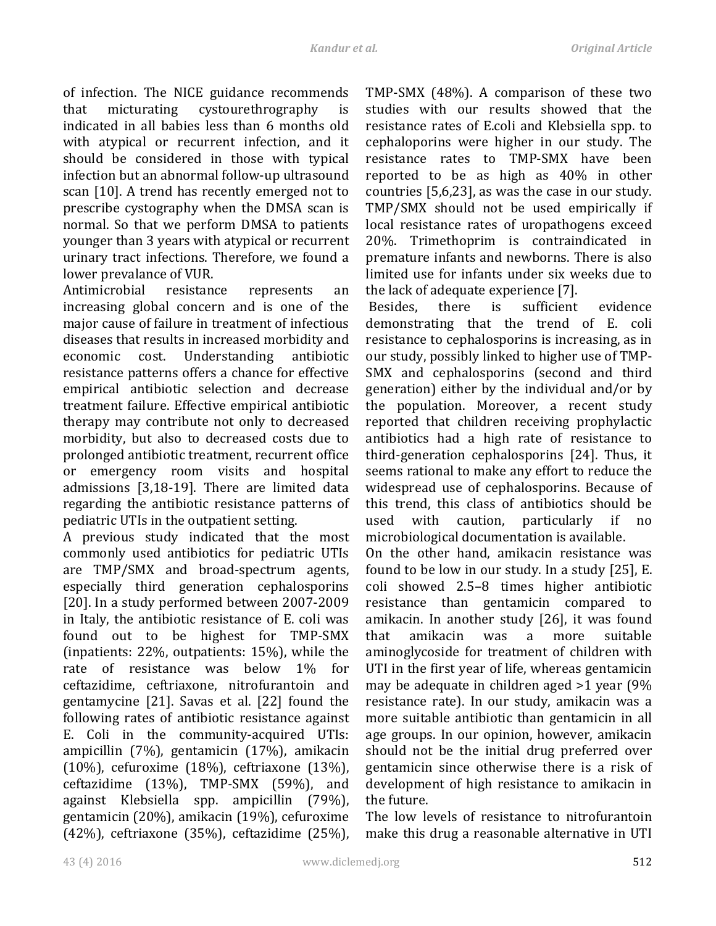of infection. The NICE guidance recommends that micturating cystourethrography is indicated in all babies less than 6 months old with atypical or recurrent infection, and it should be considered in those with typical infection but an abnormal follow-up ultrasound scan [10]. A trend has recently emerged not to prescribe cystography when the DMSA scan is normal. So that we perform DMSA to patients younger than 3 years with atypical or recurrent urinary tract infections. Therefore, we found a lower prevalance of VUR.

Antimicrobial resistance represents an increasing global concern and is one of the major cause of failure in treatment of infectious diseases that results in increased morbidity and economic cost. Understanding antibiotic resistance patterns offers a chance for effective empirical antibiotic selection and decrease treatment failure. Effective empirical antibiotic therapy may contribute not only to decreased morbidity, but also to decreased costs due to prolonged antibiotic treatment, recurrent office or emergency room visits and hospital admissions [3,18-19]. There are limited data regarding the antibiotic resistance patterns of pediatric UTIs in the outpatient setting.

A previous study indicated that the most commonly used antibiotics for pediatric UTIs are TMP/SMX and broad-spectrum agents, especially third generation cephalosporins [20]. In a study performed between 2007-2009 in Italy, the antibiotic resistance of E. coli was found out to be highest for TMP-SMX (inpatients:  $22\%$ , outpatients:  $15\%$ ), while the rate of resistance was below 1% for ceftazidime, ceftriaxone, nitrofurantoin and gentamycine [21]. Savas et al. [22] found the following rates of antibiotic resistance against E. Coli in the community-acquired UTIs: ampicillin  $(7%)$ , gentamicin  $(17%)$ , amikacin (10%), cefuroxime  $(18%)$ , ceftriaxone  $(13%)$ , ceftazidime  $(13\%)$ , TMP-SMX  $(59\%)$ , and against Klebsiella spp. ampicillin (79%), gentamicin (20%), amikacin (19%), cefuroxime  $(42%)$ , ceftriaxone  $(35%)$ , ceftazidime  $(25%)$ ,

TMP-SMX  $(48%)$ . A comparison of these two studies with our results showed that the resistance rates of E.coli and Klebsiella spp. to cephaloporins were higher in our study. The resistance rates to TMP-SMX have been reported to be as high as  $40\%$  in other countries  $[5,6,23]$ , as was the case in our study. TMP/SMX should not be used empirically if local resistance rates of uropathogens exceed 20%. Trimethoprim is contraindicated in premature infants and newborns. There is also limited use for infants under six weeks due to the lack of adequate experience [7].

Besides, there is sufficient evidence demonstrating that the trend of E. coli resistance to cephalosporins is increasing, as in our study, possibly linked to higher use of TMP-SMX and cephalosporins (second and third generation) either by the individual and/or by the population. Moreover, a recent study reported that children receiving prophylactic antibiotics had a high rate of resistance to third-generation cephalosporins [24]. Thus, it seems rational to make any effort to reduce the widespread use of cephalosporins. Because of this trend, this class of antibiotics should be used with caution, particularly if no microbiological documentation is available.

On the other hand, amikacin resistance was found to be low in our study. In a study  $[25]$ , E. coli showed 2.5–8 times higher antibiotic resistance than gentamicin compared to amikacin. In another study [26], it was found that amikacin was a more suitable aminoglycoside for treatment of children with UTI in the first year of life, whereas gentamicin may be adequate in children aged  $>1$  year (9%) resistance rate). In our study, amikacin was a more suitable antibiotic than gentamicin in all age groups. In our opinion, however, amikacin should not be the initial drug preferred over gentamicin since otherwise there is a risk of development of high resistance to amikacin in the future.

The low levels of resistance to nitrofurantoin make this drug a reasonable alternative in UTI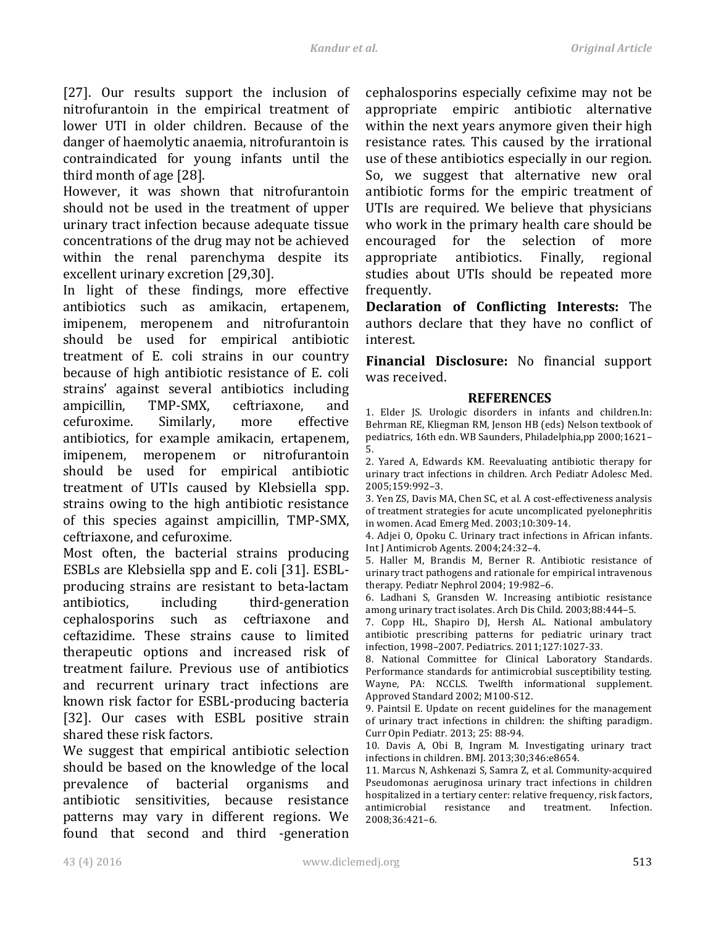[27]. Our results support the inclusion of nitrofurantoin in the empirical treatment of lower UTI in older children. Because of the danger of haemolytic anaemia, nitrofurantoin is contraindicated for young infants until the third month of age [28].

However, it was shown that nitrofurantoin should not be used in the treatment of upper urinary tract infection because adequate tissue concentrations of the drug may not be achieved within the renal parenchyma despite its excellent urinary excretion [29,30].

In light of these findings, more effective antibiotics such as amikacin, ertapenem, imipenem, meropenem and nitrofurantoin should be used for empirical antibiotic treatment of E. coli strains in our country because of high antibiotic resistance of E. coli strains' against several antibiotics including ampicillin, TMP-SMX, ceftriaxone, and cefuroxime. Similarly, more effective antibiotics, for example amikacin, ertapenem, imipenem, meropenem or nitrofurantoin should be used for empirical antibiotic treatment of UTIs caused by Klebsiella spp. strains owing to the high antibiotic resistance of this species against ampicillin, TMP-SMX, ceftriaxone, and cefuroxime. 

Most often, the bacterial strains producing ESBLs are Klebsiella spp and E. coli [31]. ESBLproducing strains are resistant to beta-lactam antibiotics, including third-generation cephalosporins such as ceftriaxone and ceftazidime. These strains cause to limited therapeutic options and increased risk of treatment failure. Previous use of antibiotics and recurrent urinary tract infections are known risk factor for ESBL-producing bacteria [32]. Our cases with ESBL positive strain shared these risk factors.

We suggest that empirical antibiotic selection should be based on the knowledge of the local prevalence of bacterial organisms and antibiotic sensitivities, because resistance patterns may vary in different regions. We found that second and third -generation cephalosporins especially cefixime may not be appropriate empiric antibiotic alternative within the next years anymore given their high resistance rates. This caused by the irrational use of these antibiotics especially in our region. So, we suggest that alternative new oral antibiotic forms for the empiric treatment of UTIs are required. We believe that physicians who work in the primary health care should be encouraged for the selection of more appropriate antibiotics. Finally, regional studies about UTIs should be repeated more frequently.

**Declaration of Conflicting Interests:** The authors declare that they have no conflict of interest. 

**Financial Disclosure:** No financial support was received.

# **REFERENCES**

1. Elder JS. Urologic disorders in infants and children.In: Behrman RE, Kliegman RM, Jenson HB (eds) Nelson textbook of pediatrics, 16th edn. WB Saunders, Philadelphia,pp 2000;1621-5.

2. Yared A, Edwards KM. Reevaluating antibiotic therapy for urinary tract infections in children. Arch Pediatr Adolesc Med. 2005;159:992–3.

3. Yen ZS, Davis MA, Chen SC, et al. A cost-effectiveness analysis of treatment strategies for acute uncomplicated pyelonephritis in women. Acad Emerg Med. 2003;10:309-14.

4. Adjei O, Opoku C. Urinary tract infections in African infants. Int J Antimicrob Agents. 2004;24:32-4.

5. Haller M, Brandis M, Berner R. Antibiotic resistance of urinary tract pathogens and rationale for empirical intravenous therapy. Pediatr Nephrol 2004; 19:982-6.

6. Ladhani S, Gransden W. Increasing antibiotic resistance among urinary tract isolates. Arch Dis Child. 2003;88:444-5.

7. Copp HL, Shapiro DJ, Hersh AL. National ambulatory antibiotic prescribing patterns for pediatric urinary tract infection, 1998-2007. Pediatrics. 2011;127:1027-33.

8. National Committee for Clinical Laboratory Standards. Performance standards for antimicrobial susceptibility testing. Wayne, PA: NCCLS. Twelfth informational supplement. Approved Standard 2002; M100-S12.

9. Paintsil E. Update on recent guidelines for the management of urinary tract infections in children: the shifting paradigm. Curr Opin Pediatr. 2013; 25: 88-94.

10. Davis A, Obi B, Ingram M. Investigating urinary tract infections in children. BMJ. 2013;30;346:e8654.

11. Marcus N, Ashkenazi S, Samra Z, et al. Community-acquired Pseudomonas aeruginosa urinary tract infections in children hospitalized in a tertiary center: relative frequency, risk factors, antimicrobial resistance and treatment. Infection. 2008;36:421–6.